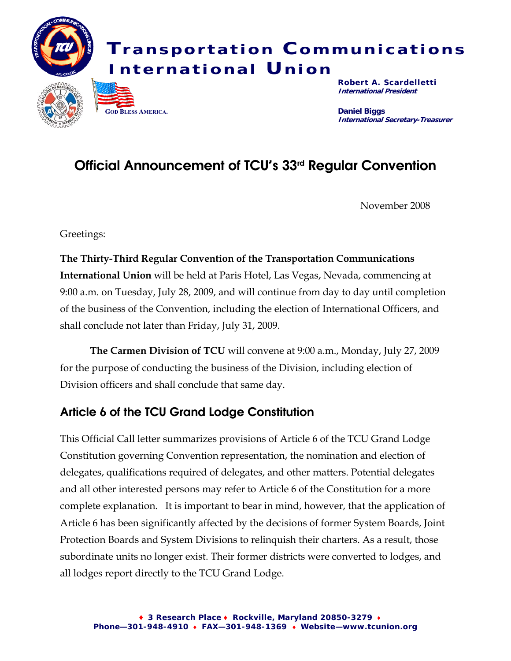

# Official Announcement of TCU's 33rd Regular Convention

November 2008

Greetings:

**The Thirty-Third Regular Convention of the Transportation Communications International Union** will be held at Paris Hotel, Las Vegas, Nevada, commencing at 9:00 a.m. on Tuesday, July 28, 2009, and will continue from day to day until completion of the business of the Convention, including the election of International Officers, and shall conclude not later than Friday, July 31, 2009.

 **The Carmen Division of TCU** will convene at 9:00 a.m., Monday, July 27, 2009 for the purpose of conducting the business of the Division, including election of Division officers and shall conclude that same day.

# Article 6 of the TCU Grand Lodge Constitution

This Official Call letter summarizes provisions of Article 6 of the TCU Grand Lodge Constitution governing Convention representation, the nomination and election of delegates, qualifications required of delegates, and other matters. Potential delegates and all other interested persons may refer to Article 6 of the Constitution for a more complete explanation. It is important to bear in mind, however, that the application of Article 6 has been significantly affected by the decisions of former System Boards, Joint Protection Boards and System Divisions to relinquish their charters. As a result, those subordinate units no longer exist. Their former districts were converted to lodges, and all lodges report directly to the TCU Grand Lodge.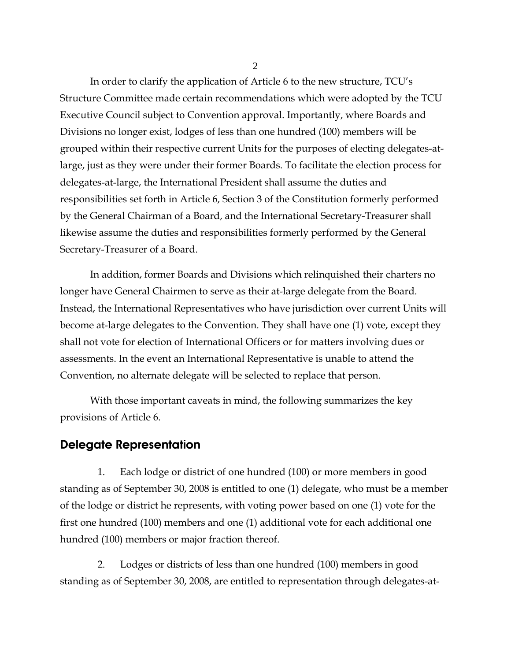In order to clarify the application of Article 6 to the new structure, TCU's Structure Committee made certain recommendations which were adopted by the TCU Executive Council subject to Convention approval. Importantly, where Boards and Divisions no longer exist, lodges of less than one hundred (100) members will be grouped within their respective current Units for the purposes of electing delegates-atlarge, just as they were under their former Boards. To facilitate the election process for delegates-at-large, the International President shall assume the duties and responsibilities set forth in Article 6, Section 3 of the Constitution formerly performed by the General Chairman of a Board, and the International Secretary-Treasurer shall likewise assume the duties and responsibilities formerly performed by the General Secretary-Treasurer of a Board.

 In addition, former Boards and Divisions which relinquished their charters no longer have General Chairmen to serve as their at-large delegate from the Board. Instead, the International Representatives who have jurisdiction over current Units will become at-large delegates to the Convention. They shall have one (1) vote, except they shall not vote for election of International Officers or for matters involving dues or assessments. In the event an International Representative is unable to attend the Convention, no alternate delegate will be selected to replace that person.

 With those important caveats in mind, the following summarizes the key provisions of Article 6.

## Delegate Representation

1. Each lodge or district of one hundred (100) or more members in good standing as of September 30, 2008 is entitled to one (1) delegate, who must be a member of the lodge or district he represents, with voting power based on one (1) vote for the first one hundred (100) members and one (1) additional vote for each additional one hundred (100) members or major fraction thereof.

2. Lodges or districts of less than one hundred (100) members in good standing as of September 30, 2008, are entitled to representation through delegates-at-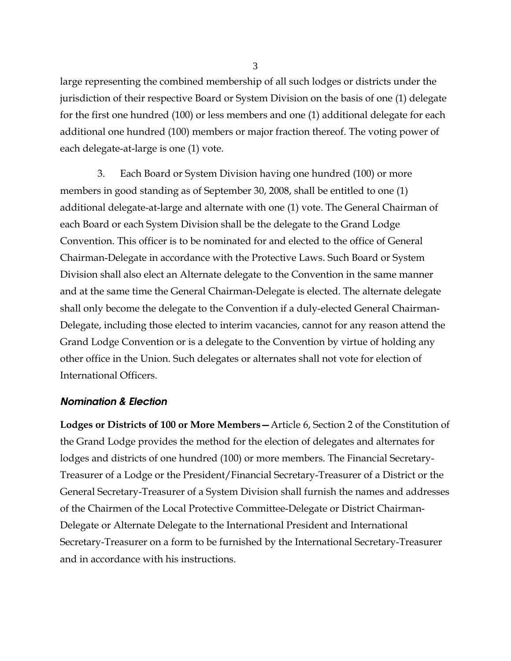large representing the combined membership of all such lodges or districts under the jurisdiction of their respective Board or System Division on the basis of one (1) delegate for the first one hundred (100) or less members and one (1) additional delegate for each additional one hundred (100) members or major fraction thereof. The voting power of each delegate-at-large is one (1) vote.

3. Each Board or System Division having one hundred (100) or more members in good standing as of September 30, 2008, shall be entitled to one (1) additional delegate-at-large and alternate with one (1) vote. The General Chairman of each Board or each System Division shall be the delegate to the Grand Lodge Convention. This officer is to be nominated for and elected to the office of General Chairman-Delegate in accordance with the Protective Laws. Such Board or System Division shall also elect an Alternate delegate to the Convention in the same manner and at the same time the General Chairman-Delegate is elected. The alternate delegate shall only become the delegate to the Convention if a duly-elected General Chairman-Delegate, including those elected to interim vacancies, cannot for any reason attend the Grand Lodge Convention or is a delegate to the Convention by virtue of holding any other office in the Union. Such delegates or alternates shall not vote for election of International Officers.

#### *Nomination & Election*

**Lodges or Districts of 100 or More Members—**Article 6, Section 2 of the Constitution of the Grand Lodge provides the method for the election of delegates and alternates for lodges and districts of one hundred (100) or more members. The Financial Secretary-Treasurer of a Lodge or the President/Financial Secretary-Treasurer of a District or the General Secretary-Treasurer of a System Division shall furnish the names and addresses of the Chairmen of the Local Protective Committee-Delegate or District Chairman-Delegate or Alternate Delegate to the International President and International Secretary-Treasurer on a form to be furnished by the International Secretary-Treasurer and in accordance with his instructions.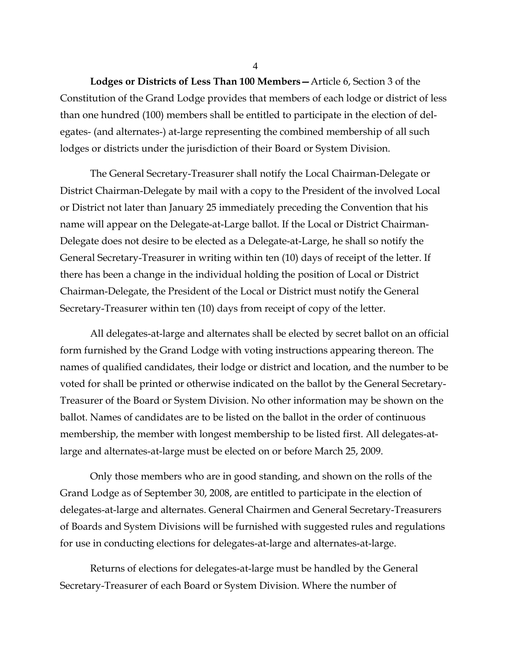4

 **Lodges or Districts of Less Than 100 Members—**Article 6, Section 3 of the Constitution of the Grand Lodge provides that members of each lodge or district of less than one hundred (100) members shall be entitled to participate in the election of delegates- (and alternates-) at-large representing the combined membership of all such lodges or districts under the jurisdiction of their Board or System Division.

 The General Secretary-Treasurer shall notify the Local Chairman-Delegate or District Chairman-Delegate by mail with a copy to the President of the involved Local or District not later than January 25 immediately preceding the Convention that his name will appear on the Delegate-at-Large ballot. If the Local or District Chairman-Delegate does not desire to be elected as a Delegate-at-Large, he shall so notify the General Secretary-Treasurer in writing within ten (10) days of receipt of the letter. If there has been a change in the individual holding the position of Local or District Chairman-Delegate, the President of the Local or District must notify the General Secretary-Treasurer within ten (10) days from receipt of copy of the letter.

 All delegates-at-large and alternates shall be elected by secret ballot on an official form furnished by the Grand Lodge with voting instructions appearing thereon. The names of qualified candidates, their lodge or district and location, and the number to be voted for shall be printed or otherwise indicated on the ballot by the General Secretary-Treasurer of the Board or System Division. No other information may be shown on the ballot. Names of candidates are to be listed on the ballot in the order of continuous membership, the member with longest membership to be listed first. All delegates-atlarge and alternates-at-large must be elected on or before March 25, 2009.

 Only those members who are in good standing, and shown on the rolls of the Grand Lodge as of September 30, 2008, are entitled to participate in the election of delegates-at-large and alternates. General Chairmen and General Secretary-Treasurers of Boards and System Divisions will be furnished with suggested rules and regulations for use in conducting elections for delegates-at-large and alternates-at-large.

 Returns of elections for delegates-at-large must be handled by the General Secretary-Treasurer of each Board or System Division. Where the number of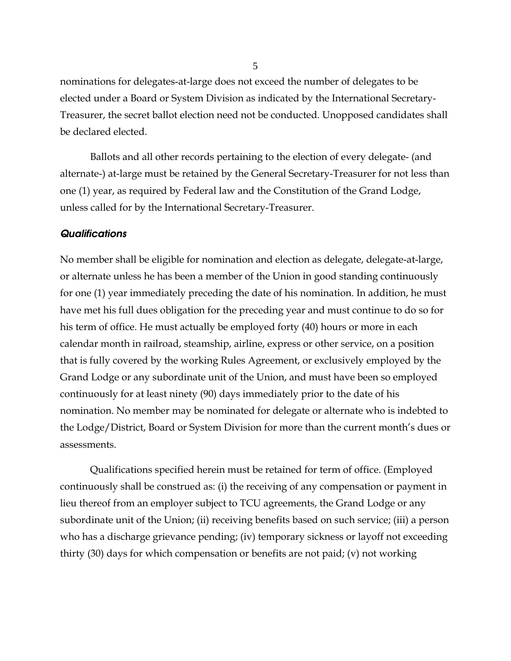nominations for delegates-at-large does not exceed the number of delegates to be elected under a Board or System Division as indicated by the International Secretary-Treasurer, the secret ballot election need not be conducted. Unopposed candidates shall be declared elected.

 Ballots and all other records pertaining to the election of every delegate- (and alternate-) at-large must be retained by the General Secretary-Treasurer for not less than one (1) year, as required by Federal law and the Constitution of the Grand Lodge, unless called for by the International Secretary-Treasurer.

#### *Qualifications*

No member shall be eligible for nomination and election as delegate, delegate-at-large, or alternate unless he has been a member of the Union in good standing continuously for one (1) year immediately preceding the date of his nomination. In addition, he must have met his full dues obligation for the preceding year and must continue to do so for his term of office. He must actually be employed forty (40) hours or more in each calendar month in railroad, steamship, airline, express or other service, on a position that is fully covered by the working Rules Agreement, or exclusively employed by the Grand Lodge or any subordinate unit of the Union, and must have been so employed continuously for at least ninety (90) days immediately prior to the date of his nomination. No member may be nominated for delegate or alternate who is indebted to the Lodge/District, Board or System Division for more than the current month's dues or assessments.

 Qualifications specified herein must be retained for term of office. (Employed continuously shall be construed as: (i) the receiving of any compensation or payment in lieu thereof from an employer subject to TCU agreements, the Grand Lodge or any subordinate unit of the Union; (ii) receiving benefits based on such service; (iii) a person who has a discharge grievance pending; (iv) temporary sickness or layoff not exceeding thirty (30) days for which compensation or benefits are not paid; (v) not working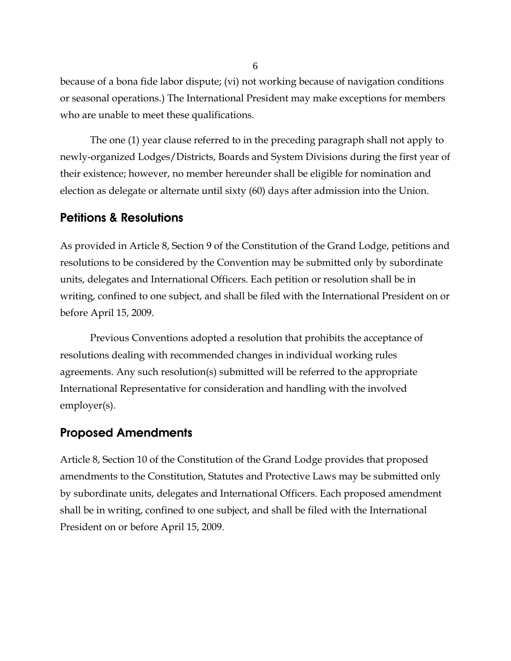because of a bona fide labor dispute; (vi) not working because of navigation conditions or seasonal operations.) The International President may make exceptions for members who are unable to meet these qualifications.

 The one (1) year clause referred to in the preceding paragraph shall not apply to newly-organized Lodges/Districts, Boards and System Divisions during the first year of their existence; however, no member hereunder shall be eligible for nomination and election as delegate or alternate until sixty (60) days after admission into the Union.

# Petitions & Resolutions

As provided in Article 8, Section 9 of the Constitution of the Grand Lodge, petitions and resolutions to be considered by the Convention may be submitted only by subordinate units, delegates and International Officers. Each petition or resolution shall be in writing, confined to one subject, and shall be filed with the International President on or before April 15, 2009.

 Previous Conventions adopted a resolution that prohibits the acceptance of resolutions dealing with recommended changes in individual working rules agreements. Any such resolution(s) submitted will be referred to the appropriate International Representative for consideration and handling with the involved employer(s).

## Proposed Amendments

Article 8, Section 10 of the Constitution of the Grand Lodge provides that proposed amendments to the Constitution, Statutes and Protective Laws may be submitted only by subordinate units, delegates and International Officers. Each proposed amendment shall be in writing, confined to one subject, and shall be filed with the International President on or before April 15, 2009.